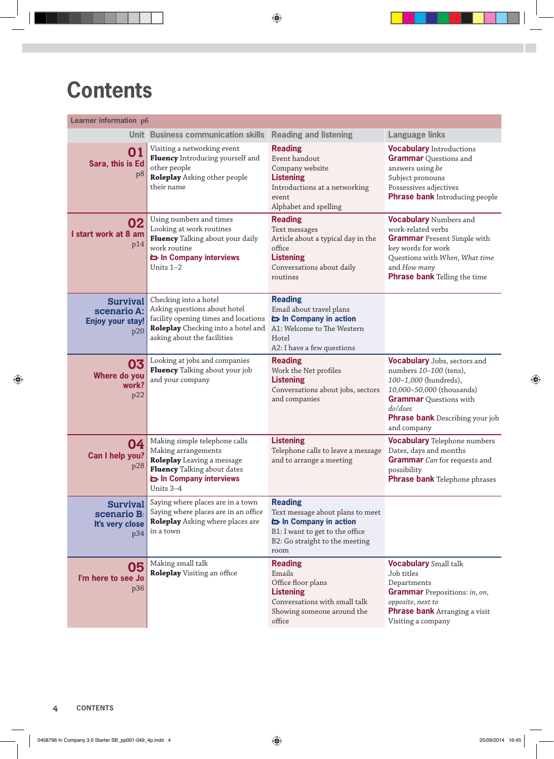## **Contents**

| Learner information p6                                           |                                                                                                                                                                    |                                                                                                                                                         |                                                                                                                                                                                                                          |  |
|------------------------------------------------------------------|--------------------------------------------------------------------------------------------------------------------------------------------------------------------|---------------------------------------------------------------------------------------------------------------------------------------------------------|--------------------------------------------------------------------------------------------------------------------------------------------------------------------------------------------------------------------------|--|
|                                                                  | Unit Business communication skills                                                                                                                                 | <b>Reading and listening</b>                                                                                                                            | <b>Language links</b>                                                                                                                                                                                                    |  |
| 01<br>Sara, this is Ed<br>p8                                     | Visiting a networking event<br>Fluency Introducing yourself and<br>other people<br>Roleplay Asking other people<br>their name                                      | <b>Reading</b><br>Event handout<br>Company website<br><b>Listening</b><br>Introductions at a networking<br>event<br>Alphabet and spelling               | <b>Vocabulary</b> Introductions<br><b>Grammar</b> Questions and<br>answers using be<br>Subject pronouns<br>Possessives adjectives<br><b>Phrase bank Introducing people</b>                                               |  |
| 02<br>I start work at 8 am<br>p14                                | Using numbers and times<br>Looking at work routines<br>Fluency Talking about your daily<br>work routine<br><b>E</b> In Company interviews<br>Units 1-2             | <b>Reading</b><br>Text messages<br>Article about a typical day in the<br>office<br><b>Listening</b><br>Conversations about daily<br>routines            | <b>Vocabulary Numbers and</b><br>work-related verbs<br><b>Grammar</b> Present Simple with<br>key words for work<br>Questions with When, What time<br>and How many<br><b>Phrase bank Telling the time</b>                 |  |
| <b>Survival</b><br>scenario A:<br><b>Enjoy your stay!</b><br>p20 | Checking into a hotel<br>Asking questions about hotel<br>facility opening times and locations<br>Roleplay Checking into a hotel and<br>asking about the facilities | <b>Reading</b><br>Email about travel plans<br>in Company in action<br>A1: Welcome to The Western<br>Hotel<br>A2: I have a few questions                 |                                                                                                                                                                                                                          |  |
| 03<br>Where do you<br>work?<br>p22                               | Looking at jobs and companies<br>Fluency Talking about your job<br>and your company                                                                                | <b>Reading</b><br>Work the Net profiles<br><b>Listening</b><br>Conversations about jobs, sectors<br>and companies                                       | <b>Vocabulary</b> Jobs, sectors and<br>numbers 10-100 (tens),<br>100-1,000 (hundreds),<br>10,000-50,000 (thousands)<br><b>Grammar</b> Questions with<br>do/does<br><b>Phrase bank</b> Describing your job<br>and company |  |
| 04<br>Can I help you?<br>p28                                     | Making simple telephone calls<br>Making arrangements<br>Roleplay Leaving a message<br>Fluency Talking about dates<br>in Company interviews<br>Units 3–4            | <b>Listening</b><br>Telephone calls to leave a message<br>and to arrange a meeting                                                                      | <b>Vocabulary</b> Telephone numbers<br>Dates, days and months<br><b>Grammar</b> <i>Can</i> for requests and<br>possibility<br><b>Phrase bank Telephone phrases</b>                                                       |  |
| <b>Survival</b><br>scenario B:<br>It's very close<br>p34         | Saying where places are in a town<br>Saying where places are in an office<br>Roleplay Asking where places are<br>in a town                                         | <b>Reading</b><br>Text message about plans to meet<br>in Company in action<br>B1: I want to get to the office<br>B2: Go straight to the meeting<br>room |                                                                                                                                                                                                                          |  |
| 05<br>I'm here to see Jo<br>p36                                  | Making small talk<br>Roleplay Visiting an office                                                                                                                   | <b>Reading</b><br>Emails<br>Office floor plans<br><b>Listening</b><br>Conversations with small talk<br>Showing someone around the<br>office             | <b>Vocabulary</b> Small talk<br>Job titles<br>Departments<br><b>Grammar</b> Prepositions: in, on,<br>opposite, next to<br><b>Phrase bank Arranging a visit</b><br>Visiting a company                                     |  |